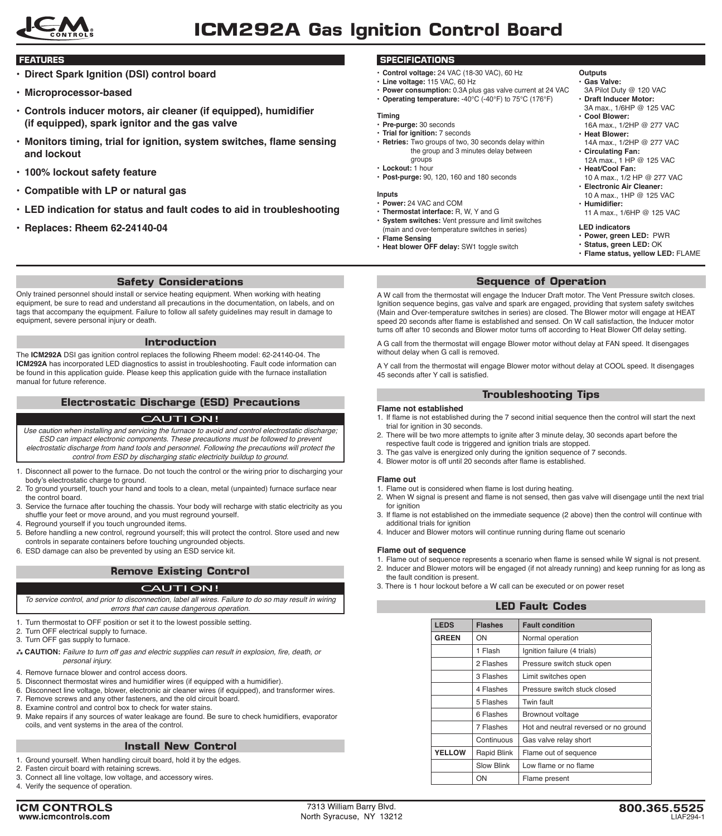

- **• Direct Spark Ignition (DSI) control board**
- **• Microprocessor-based**
- **• Controls inducer motors, air cleaner (if equipped), humidifier (if equipped), spark ignitor and the gas valve**
- **• Monitors timing, trial for ignition, system switches, flame sensing and lockout**
- **• 100% lockout safety feature**
- **• Compatible with LP or natural gas**
- **• LED indication for status and fault codes to aid in troubleshooting**
- **• Replaces: Rheem 62-24140-04**

## **Safety Considerations**

Only trained personnel should install or service heating equipment. When working with heating equipment, be sure to read and understand all precautions in the documentation, on labels, and on tags that accompany the equipment. Failure to follow all safety guidelines may result in damage to equipment, severe personal injury or death.

#### **Introduction**

The **ICM292A** DSI gas ignition control replaces the following Rheem model: 62-24140-04. The **ICM292A** has incorporated LED diagnostics to assist in troubleshooting. Fault code information can be found in this application guide. Please keep this application guide with the furnace installation manual for future reference.

## **Electrostatic Discharge (ESD) Precautions**

## CAUTION!

- *Use caution when installing and servicing the furnace to avoid and control electrostatic discharge; ESD can impact electronic components. These precautions must be followed to prevent electrostatic discharge from hand tools and personnel. Following the precautions will protect the control from ESD by discharging static electricity buildup to ground.*
- 1. Disconnect all power to the furnace. Do not touch the control or the wiring prior to discharging your body's electrostatic charge to ground.
- 2. To ground yourself, touch your hand and tools to a clean, metal (unpainted) furnace surface near the control board.
- 3. Service the furnace after touching the chassis. Your body will recharge with static electricity as you shuffle your feet or move around, and you must reground yourself.
- 4. Reground yourself if you touch ungrounded items.
- 5. Before handling a new control, reground yourself; this will protect the control. Store used and new controls in separate containers before touching ungrounded objects.
- 6. ESD damage can also be prevented by using an ESD service kit.

# **Remove Existing Control**

## CAUTION!

*To service control, and prior to disconnection, label all wires. Failure to do so may result in wiring errors that can cause dangerous operation.*

- 1. Turn thermostat to OFF position or set it to the lowest possible setting.
- 2. Turn OFF electrical supply to furnace.
- 3. Turn OFF gas supply to furnace.
- **CAUTION:** Failure to turn off gas and electric supplies can result in explosion, fire, death, or *personal injury.*
- 4. Remove furnace blower and control access doors.
- 5. Disconnect thermostat wires and humidifier wires (if equipped with a humidifier).
- 6. Disconnect line voltage, blower, electronic air cleaner wires (if equipped), and transformer wires.
- 7. Remove screws and any other fasteners, and the old circuit board. 8. Examine control and control box to check for water stains.
- 9. Make repairs if any sources of water leakage are found. Be sure to check humidifiers, evaporator coils, and vent systems in the area of the control.

## **Install New Control**

- 1. Ground yourself. When handling circuit board, hold it by the edges.
- 2. Fasten circuit board with retaining screws. 3. Connect all line voltage, low voltage, and accessory wires.
- 4. Verify the sequence of operation.

## **FEATURES SPECIFICATIONS**

- **Control voltage:** 24 VAC (18-30 VAC), 60 Hz
- **Line voltage:** 115 VAC, 60 Hz
- **Power consumption:** 0.3A plus gas valve current at 24 VAC • **Operating temperature:** -40°C (-40°F) to 75°C (176°F)

# **Timing**

- **Pre-purge:** 30 seconds
- **Trial for ignition:** 7 seconds
- **Retries:** Two groups of two, 30 seconds delay within the group and 3 minutes delay between groups
- **Lockout:** 1 hour
- **Post-purge:** 90, 120, 160 and 180 seconds

#### **Inputs**

- **Power:** 24 VAC and COM
- **Thermostat interface:** R, W, Y and G • **System switches:** Vent pressure and limit switches
- (main and over-temperature switches in series) • **Flame Sensing**
- **Heat blower OFF delay:** SW1 toggle switch

#### **Outputs**

- **Gas Valve:** 3A Pilot Duty @ 120 VAC
- **Draft Inducer Motor:**
- 3A max., 1/6HP @ 125 VAC • **Cool Blower:**
- 16A max., 1/2HP @ 277 VAC • **Heat Blower:**
- 14A max., 1/2HP @ 277 VAC
- **Circulating Fan:** 12A max., 1 HP @ 125 VAC
- **Heat/Cool Fan:**
	- 10 A max., 1/2 HP @ 277 VAC • **Electronic Air Cleaner:**
	- 10 A max., 1HP @ 125 VAC • **Humidifier:**
	- 11 A max., 1/6HP @ 125 VAC

## **LED indicators**

- **Power, green LED:** PWR
	- **Status, green LED:** OK
	- **Flame status, yellow LED:** FLAME

# **Sequence of Operation**

A W call from the thermostat will engage the Inducer Draft motor. The Vent Pressure switch closes. Ignition sequence begins, gas valve and spark are engaged, providing that system safety switches (Main and Over-temperature switches in series) are closed. The Blower motor will engage at HEAT speed 20 seconds after flame is established and sensed. On W call satisfaction, the Inducer motor turns off after 10 seconds and Blower motor turns off according to Heat Blower Off delay setting.

A G call from the thermostat will engage Blower motor without delay at FAN speed. It disengages without delay when G call is removed.

A Y call from the thermostat will engage Blower motor without delay at COOL speed. It disengages 45 seconds after Y call is satisfied.

## **Troubleshooting Tips**

### **Flame not established**

- 1. If flame is not established during the 7 second initial sequence then the control will start the next trial for ignition in 30 seconds.
- 2. There will be two more attempts to ignite after 3 minute delay, 30 seconds apart before the respective fault code is triggered and ignition trials are stopped.
- 3. The gas valve is energized only during the ignition sequence of 7 seconds.
- 4. Blower motor is off until 20 seconds after flame is established.

## **Flame out**

- 1. Flame out is considered when flame is lost during heating.
- 2. When W signal is present and flame is not sensed, then gas valve will disengage until the next trial for ignition
- 3. If flame is not established on the immediate sequence (2 above) then the control will continue with additional trials for ignition
- 4. Inducer and Blower motors will continue running during flame out scenario

## **Flame out of sequence**

- 1. Flame out of sequence represents a scenario when flame is sensed while W signal is not present.
- 2. Inducer and Blower motors will be engaged (if not already running) and keep running for as long as the fault condition is present.
- 3. There is 1 hour lockout before a W call can be executed or on power reset

# **LED Fault Codes**

| <b>LEDS</b>   | <b>Flashes</b>     | <b>Fault condition</b>                |
|---------------|--------------------|---------------------------------------|
| <b>GREEN</b>  | ON                 | Normal operation                      |
|               | 1 Flash            | Ignition failure (4 trials)           |
|               | 2 Flashes          | Pressure switch stuck open            |
|               | 3 Flashes          | Limit switches open                   |
|               | 4 Flashes          | Pressure switch stuck closed          |
|               | 5 Flashes          | Twin fault                            |
|               | 6 Flashes          | Brownout voltage                      |
|               | 7 Flashes          | Hot and neutral reversed or no ground |
|               | Continuous         | Gas valve relay short                 |
| <b>YELLOW</b> | <b>Rapid Blink</b> | Flame out of sequence                 |
|               | <b>Slow Blink</b>  | Low flame or no flame                 |
|               | ON                 | Flame present                         |